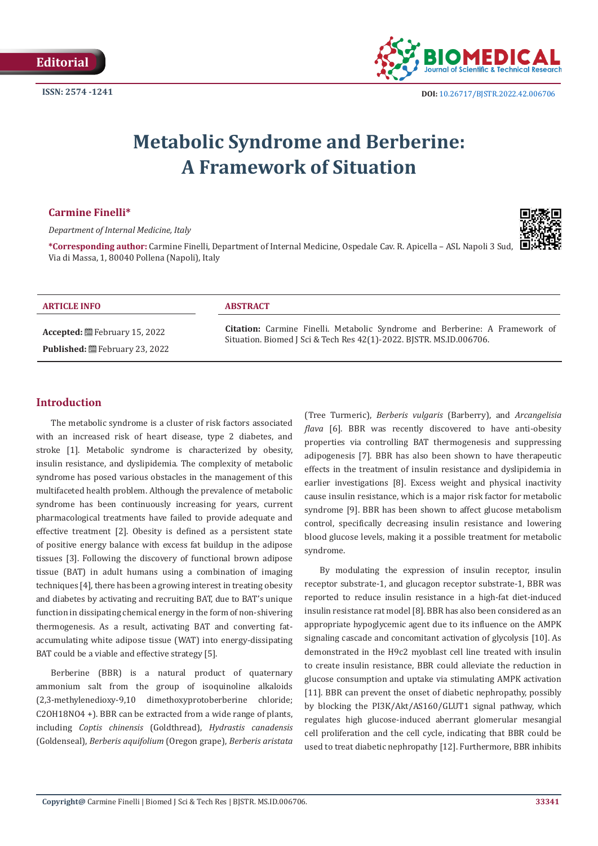

# **Metabolic Syndrome and Berberine: A Framework of Situation**

## **Carmine Finelli\***

*Department of Internal Medicine, Italy* 



**\*Corresponding author:** Carmine Finelli, Department of Internal Medicine, Ospedale Cav. R. Apicella – ASL Napoli 3 Sud, Via di Massa, 1, 80040 Pollena (Napoli), Italy

#### **ARTICLE INFO ABSTRACT**

**Accepted:** February 15, 2022 Published: **■**February 23, 2022

**Citation:** Carmine Finelli. Metabolic Syndrome and Berberine: A Framework of Situation. Biomed J Sci & Tech Res 42(1)-2022. BJSTR. MS.ID.006706.

# **Introduction**

The metabolic syndrome is a cluster of risk factors associated with an increased risk of heart disease, type 2 diabetes, and stroke [1]. Metabolic syndrome is characterized by obesity, insulin resistance, and dyslipidemia. The complexity of metabolic syndrome has posed various obstacles in the management of this multifaceted health problem. Although the prevalence of metabolic syndrome has been continuously increasing for years, current pharmacological treatments have failed to provide adequate and effective treatment [2]. Obesity is defined as a persistent state of positive energy balance with excess fat buildup in the adipose tissues [3]. Following the discovery of functional brown adipose tissue (BAT) in adult humans using a combination of imaging techniques [4], there has been a growing interest in treating obesity and diabetes by activating and recruiting BAT, due to BAT's unique function in dissipating chemical energy in the form of non-shivering thermogenesis. As a result, activating BAT and converting fataccumulating white adipose tissue (WAT) into energy-dissipating BAT could be a viable and effective strategy [5].

Berberine (BBR) is a natural product of quaternary ammonium salt from the group of isoquinoline alkaloids (2,3-methylenedioxy-9,10 dimethoxyprotoberberine chloride; C2OH18NO4 +). BBR can be extracted from a wide range of plants, including *Coptis chinensis* (Goldthread), *Hydrastis canadensis* (Goldenseal), *Berberis aquifolium* (Oregon grape), *Berberis aristata*

(Tree Turmeric), *Berberis vulgaris* (Barberry), and *Arcangelisia flava* [6]. BBR was recently discovered to have anti-obesity properties via controlling BAT thermogenesis and suppressing adipogenesis [7]. BBR has also been shown to have therapeutic effects in the treatment of insulin resistance and dyslipidemia in earlier investigations [8]. Excess weight and physical inactivity cause insulin resistance, which is a major risk factor for metabolic syndrome [9]. BBR has been shown to affect glucose metabolism control, specifically decreasing insulin resistance and lowering blood glucose levels, making it a possible treatment for metabolic syndrome.

By modulating the expression of insulin receptor, insulin receptor substrate-1, and glucagon receptor substrate-1, BBR was reported to reduce insulin resistance in a high-fat diet-induced insulin resistance rat model [8]. BBR has also been considered as an appropriate hypoglycemic agent due to its influence on the AMPK signaling cascade and concomitant activation of glycolysis [10]. As demonstrated in the H9c2 myoblast cell line treated with insulin to create insulin resistance, BBR could alleviate the reduction in glucose consumption and uptake via stimulating AMPK activation [11]. BBR can prevent the onset of diabetic nephropathy, possibly by blocking the PI3K/Akt/AS160/GLUT1 signal pathway, which regulates high glucose-induced aberrant glomerular mesangial cell proliferation and the cell cycle, indicating that BBR could be used to treat diabetic nephropathy [12]. Furthermore, BBR inhibits